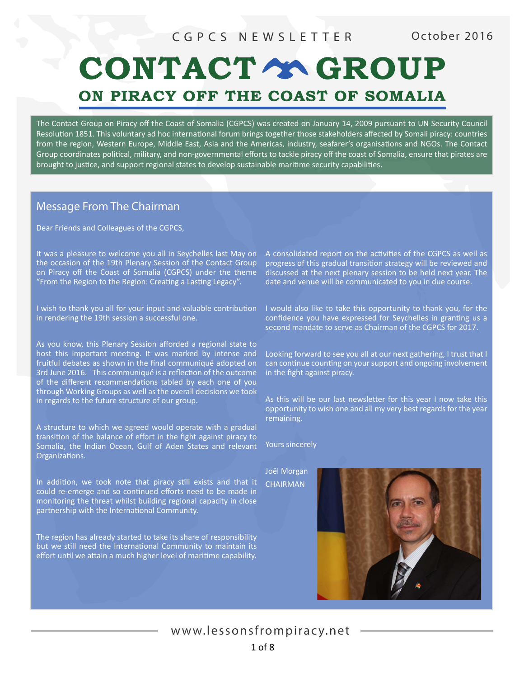# CONTACT Y GROUP ON PIRACY OFF THE COAST OF SOMALIA

The Contact Group on Piracy off the Coast of Somalia (CGPCS) was created on January 14, 2009 pursuant to UN Security Council Resolution 1851. This voluntary ad hoc international forum brings together those stakeholders affected by Somali piracy: countries from the region, Western Europe, Middle East, Asia and the Americas, industry, seafarer's organisations and NGOs. The Contact Group coordinates political, military, and non-governmental efforts to tackle piracy off the coast of Somalia, ensure that pirates are brought to justice, and support regional states to develop sustainable maritime security capabilities.

# Message From The Chairman

Dear Friends and Colleagues of the CGPCS,

It was a pleasure to welcome you all in Seychelles last May on the occasion of the 19th Plenary Session of the Contact Group on Piracy off the Coast of Somalia (CGPCS) under the theme "From the Region to the Region: Creating a Lasting Legacy".

I wish to thank you all for your input and valuable contribution in rendering the 19th session a successful one.

As you know, this Plenary Session afforded a regional state to host this important meeting. It was marked by intense and fruitful debates as shown in the final communiqué adopted on 3rd June 2016. This communiqué is a reflection of the outcome of the different recommendations tabled by each one of you through Working Groups as well as the overall decisions we took in regards to the future structure of our group.

A structure to which we agreed would operate with a gradual transition of the balance of effort in the fight against piracy to Somalia, the Indian Ocean, Gulf of Aden States and relevant Organizations.

In addition, we took note that piracy still exists and that it could re-emerge and so continued efforts need to be made in monitoring the threat whilst building regional capacity in close partnership with the International Community.

The region has already started to take its share of responsibility but we still need the International Community to maintain its effort until we attain a much higher level of maritime capability.

A consolidated report on the activities of the CGPCS as well as progress of this gradual transition strategy will be reviewed and discussed at the next plenary session to be held next year. The date and venue will be communicated to you in due course.

I would also like to take this opportunity to thank you, for the confidence you have expressed for Seychelles in granting us a second mandate to serve as Chairman of the CGPCS for 2017.

Looking forward to see you all at our next gathering, I trust that I can continue counting on your support and ongoing involvement in the fight against piracy.

As this will be our last newsletter for this year I now take this opportunity to wish one and all my very best regards for the year remaining.

Yours sincerely

Joël Morgan CHAIRMAN



www.lessonsfrompiracy.net 1 of 8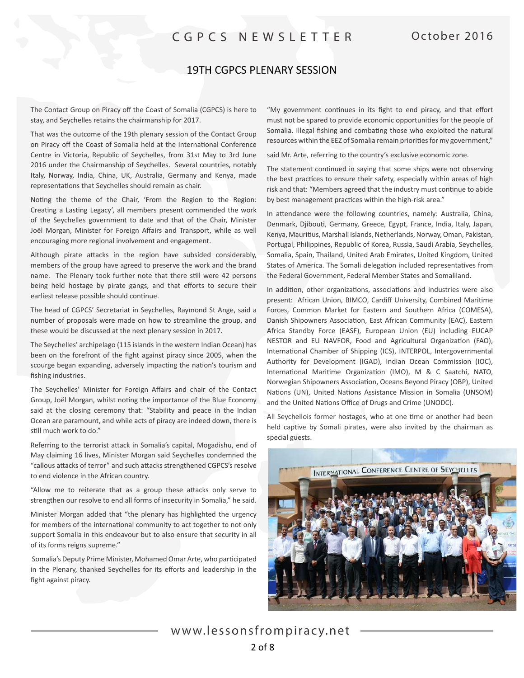### 19TH CGPCS PLENARY SESSION

The Contact Group on Piracy off the Coast of Somalia (CGPCS) is here to stay, and Seychelles retains the chairmanship for 2017.

That was the outcome of the 19th plenary session of the Contact Group on Piracy off the Coast of Somalia held at the International Conference Centre in Victoria, Republic of Seychelles, from 31st May to 3rd June 2016 under the Chairmanship of Seychelles. Several countries, notably Italy, Norway, India, China, UK, Australia, Germany and Kenya, made representations that Seychelles should remain as chair.

Noting the theme of the Chair, 'From the Region to the Region: Creating a Lasting Legacy', all members present commended the work of the Seychelles government to date and that of the Chair, Minister Joël Morgan, Minister for Foreign Affairs and Transport, while as well encouraging more regional involvement and engagement.

Although pirate attacks in the region have subsided considerably, members of the group have agreed to preserve the work and the brand name. The Plenary took further note that there still were 42 persons being held hostage by pirate gangs, and that efforts to secure their earliest release possible should continue.

The head of CGPCS' Secretariat in Seychelles, Raymond St Ange, said a number of proposals were made on how to streamline the group, and these would be discussed at the next plenary session in 2017.

The Seychelles' archipelago (115 islands in the western Indian Ocean) has been on the forefront of the fight against piracy since 2005, when the scourge began expanding, adversely impacting the nation's tourism and fishing industries.

The Seychelles' Minister for Foreign Affairs and chair of the Contact Group, Joël Morgan, whilst noting the importance of the Blue Economy said at the closing ceremony that: "Stability and peace in the Indian Ocean are paramount, and while acts of piracy are indeed down, there is still much work to do."

Referring to the terrorist attack in Somalia's capital, Mogadishu, end of May claiming 16 lives, Minister Morgan said Seychelles condemned the "callous attacks of terror" and such attacks strengthened CGPCS's resolve to end violence in the African country.

"Allow me to reiterate that as a group these attacks only serve to strengthen our resolve to end all forms of insecurity in Somalia," he said.

Minister Morgan added that "the plenary has highlighted the urgency for members of the international community to act together to not only support Somalia in this endeavour but to also ensure that security in all of its forms reigns supreme."

Somalia's Deputy Prime Minister, Mohamed Omar Arte, who participated in the Plenary, thanked Seychelles for its efforts and leadership in the fight against piracy.

"My government continues in its fight to end piracy, and that effort must not be spared to provide economic opportunities for the people of Somalia. Illegal fishing and combating those who exploited the natural resources within the EEZ of Somalia remain priorities for my government,"

said Mr. Arte, referring to the country's exclusive economic zone.

The statement continued in saying that some ships were not observing the best practices to ensure their safety, especially within areas of high risk and that: "Members agreed that the industry must continue to abide by best management practices within the high-risk area."

In attendance were the following countries, namely: Australia, China, Denmark, Djibouti, Germany, Greece, Egypt, France, India, Italy, Japan, Kenya, Mauritius, Marshall Islands, Netherlands, Norway, Oman, Pakistan, Portugal, Philippines, Republic of Korea, Russia, Saudi Arabia, Seychelles, Somalia, Spain, Thailand, United Arab Emirates, United Kingdom, United States of America. The Somali delegation included representatives from the Federal Government, Federal Member States and Somaliland.

In addition, other organizations, associations and industries were also present: African Union, BIMCO, Cardiff University, Combined Maritime Forces, Common Market for Eastern and Southern Africa (COMESA), Danish Shipowners Association, East African Community (EAC), Eastern Africa Standby Force (EASF), European Union (EU) including EUCAP NESTOR and EU NAVFOR, Food and Agricultural Organization (FAO), International Chamber of Shipping (ICS), INTERPOL, Intergovernmental Authority for Development (IGAD), Indian Ocean Commission (IOC), International Maritime Organization (IMO), M & C Saatchi, NATO, Norwegian Shipowners Association, Oceans Beyond Piracy (OBP), United Nations (UN), United Nations Assistance Mission in Somalia (UNSOM) and the United Nations Office of Drugs and Crime (UNODC).

All Seychellois former hostages, who at one time or another had been held captive by Somali pirates, were also invited by the chairman as special guests.



www.lessonsfrompiracy.net 2 of 8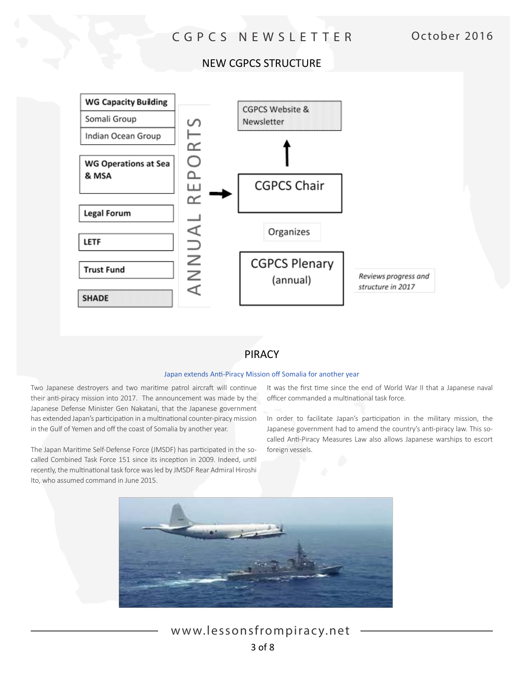# NEW CGPCS STRUCTURE



# PIRACY

#### Japan extends Anti-Piracy Mission off Somalia for another year

Two Japanese destroyers and two maritime patrol aircraft will continue their anti-piracy mission into 2017. The announcement was made by the Japanese Defense Minister Gen Nakatani, that the Japanese government has extended Japan's participation in a multinational counter-piracy mission in the Gulf of Yemen and off the coast of Somalia by another year.

The Japan Maritime Self-Defense Force (JMSDF) has participated in the socalled Combined Task Force 151 since its inception in 2009. Indeed, until recently, the multinational task force was led by JMSDF Rear Admiral Hiroshi Ito, who assumed command in June 2015.

It was the first time since the end of World War II that a Japanese naval officer commanded a multinational task force.

In order to facilitate Japan's participation in the military mission, the Japanese government had to amend the country's anti-piracy law. This socalled Anti-Piracy Measures Law also allows Japanese warships to escort foreign vessels.



www.lessonsfrompiracy.net 3 of 8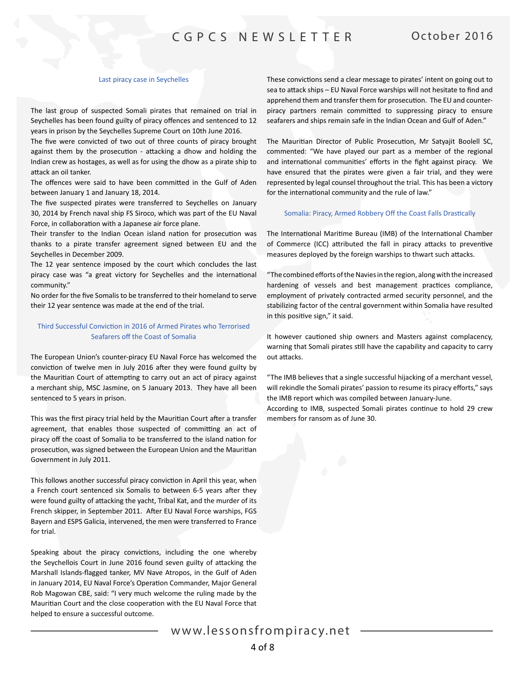#### Last piracy case in Seychelles

The last group of suspected Somali pirates that remained on trial in Seychelles has been found guilty of piracy offences and sentenced to 12 years in prison by the Seychelles Supreme Court on 10th June 2016.

The five were convicted of two out of three counts of piracy brought against them by the prosecution - attacking a dhow and holding the Indian crew as hostages, as well as for using the dhow as a pirate ship to attack an oil tanker.

The offences were said to have been committed in the Gulf of Aden between January 1 and January 18, 2014.

The five suspected pirates were transferred to Seychelles on January 30, 2014 by French naval ship FS Siroco, which was part of the EU Naval Force, in collaboration with a Japanese air force plane.

Their transfer to the Indian Ocean island nation for prosecution was thanks to a pirate transfer agreement signed between EU and the Seychelles in December 2009.

The 12 year sentence imposed by the court which concludes the last piracy case was "a great victory for Seychelles and the international community."

No order for the five Somalis to be transferred to their homeland to serve their 12 year sentence was made at the end of the trial.

#### Third Successful Conviction in 2016 of Armed Pirates who Terrorised Seafarers off the Coast of Somalia

The European Union's counter-piracy EU Naval Force has welcomed the conviction of twelve men in July 2016 after they were found guilty by the Mauritian Court of attempting to carry out an act of piracy against a merchant ship, MSC Jasmine, on 5 January 2013. They have all been sentenced to 5 years in prison.

This was the first piracy trial held by the Mauritian Court after a transfer agreement, that enables those suspected of committing an act of piracy off the coast of Somalia to be transferred to the island nation for prosecution, was signed between the European Union and the Mauritian Government in July 2011.

This follows another successful piracy conviction in April this year, when a French court sentenced six Somalis to between 6-5 years after they were found guilty of attacking the yacht, Tribal Kat, and the murder of its French skipper, in September 2011. After EU Naval Force warships, FGS Bayern and ESPS Galicia, intervened, the men were transferred to France for trial.

Speaking about the piracy convictions, including the one whereby the Seychellois Court in June 2016 found seven guilty of attacking the Marshall Islands-flagged tanker, MV Nave Atropos, in the Gulf of Aden in January 2014, EU Naval Force's Operation Commander, Major General Rob Magowan CBE, said: "I very much welcome the ruling made by the Mauritian Court and the close cooperation with the EU Naval Force that helped to ensure a successful outcome.

These convictions send a clear message to pirates' intent on going out to sea to attack ships – EU Naval Force warships will not hesitate to find and apprehend them and transfer them for prosecution. The EU and counterpiracy partners remain committed to suppressing piracy to ensure seafarers and ships remain safe in the Indian Ocean and Gulf of Aden."

The Mauritian Director of Public Prosecution, Mr Satyajit Boolell SC, commented: "We have played our part as a member of the regional and international communities' efforts in the fight against piracy. We have ensured that the pirates were given a fair trial, and they were represented by legal counsel throughout the trial. This has been a victory for the international community and the rule of law."

#### Somalia: Piracy, Armed Robbery Off the Coast Falls Drastically

The International Maritime Bureau (IMB) of the International Chamber of Commerce (ICC) attributed the fall in piracy attacks to preventive measures deployed by the foreign warships to thwart such attacks.

"The combined efforts of the Navies in the region, along with the increased hardening of vessels and best management practices compliance, employment of privately contracted armed security personnel, and the stabilizing factor of the central government within Somalia have resulted in this positive sign," it said.

It however cautioned ship owners and Masters against complacency, warning that Somali pirates still have the capability and capacity to carry out attacks.

"The IMB believes that a single successful hijacking of a merchant vessel, will rekindle the Somali pirates' passion to resume its piracy efforts," says the IMB report which was compiled between January-June.

According to IMB, suspected Somali pirates continue to hold 29 crew members for ransom as of June 30.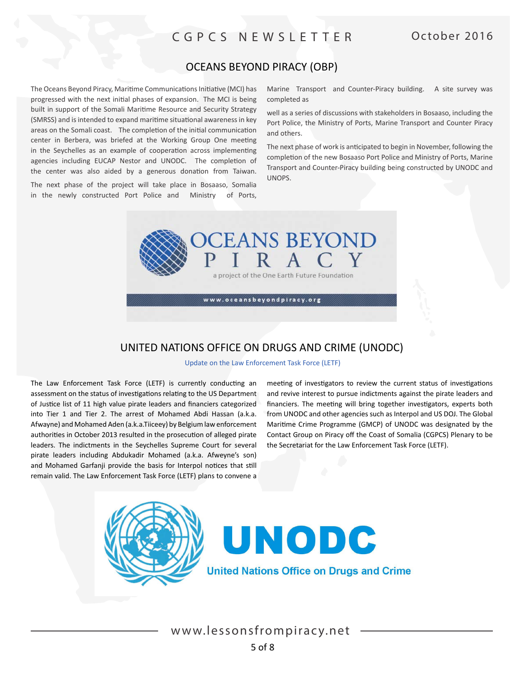# OCEANS BEYOND PIRACY (OBP)

The Oceans Beyond Piracy, Maritime Communications Initiative (MCI) has progressed with the next initial phases of expansion. The MCI is being built in support of the Somali Maritime Resource and Security Strategy (SMRSS) and is intended to expand maritime situational awareness in key areas on the Somali coast. The completion of the initial communication center in Berbera, was briefed at the Working Group One meeting in the Seychelles as an example of cooperation across implementing agencies including EUCAP Nestor and UNODC. The completion of the center was also aided by a generous donation from Taiwan.

The next phase of the project will take place in Bosaaso, Somalia in the newly constructed Port Police and Ministry of Ports, Marine Transport and Counter-Piracy building. A site survey was completed as

well as a series of discussions with stakeholders in Bosaaso, including the Port Police, the Ministry of Ports, Marine Transport and Counter Piracy and others.

The next phase of work is anticipated to begin in November, following the completion of the new Bosaaso Port Police and Ministry of Ports, Marine Transport and Counter-Piracy building being constructed by UNODC and UNOPS.



## UNITED NATIONS OFFICE ON DRUGS AND CRIME (UNODC)

Update on the Law Enforcement Task Force (LETF)

The Law Enforcement Task Force (LETF) is currently conducting an assessment on the status of investigations relating to the US Department of Justice list of 11 high value pirate leaders and financiers categorized into Tier 1 and Tier 2. The arrest of Mohamed Abdi Hassan (a.k.a. Afwayne) and Mohamed Aden (a.k.a.Tiiceey) by Belgium law enforcement authorities in October 2013 resulted in the prosecution of alleged pirate leaders. The indictments in the Seychelles Supreme Court for several pirate leaders including Abdukadir Mohamed (a.k.a. Afweyne's son) and Mohamed Garfanji provide the basis for Interpol notices that still remain valid. The Law Enforcement Task Force (LETF) plans to convene a

meeting of investigators to review the current status of investigations and revive interest to pursue indictments against the pirate leaders and financiers. The meeting will bring together investigators, experts both from UNODC and other agencies such as Interpol and US DOJ. The Global Maritime Crime Programme (GMCP) of UNODC was designated by the Contact Group on Piracy off the Coast of Somalia (CGPCS) Plenary to be the Secretariat for the Law Enforcement Task Force (LETF).





**United Nations Office on Drugs and Crime**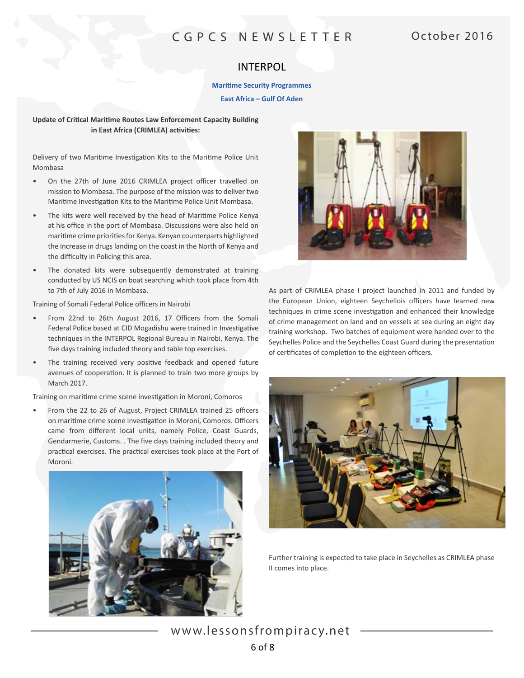### INTERPOL

#### **Maritime Security Programmes**

**East Africa – Gulf Of Aden**

#### **Update of Critical Maritime Routes Law Enforcement Capacity Building in East Africa (CRIMLEA) activities:**

Delivery of two Maritime Investigation Kits to the Maritime Police Unit Mombasa

- On the 27th of June 2016 CRIMLEA project officer travelled on mission to Mombasa. The purpose of the mission was to deliver two Maritime Investigation Kits to the Maritime Police Unit Mombasa.
- The kits were well received by the head of Maritime Police Kenya at his office in the port of Mombasa. Discussions were also held on maritime crime priorities for Kenya. Kenyan counterparts highlighted the increase in drugs landing on the coast in the North of Kenya and the difficulty in Policing this area.
- The donated kits were subsequently demonstrated at training conducted by US NCIS on boat searching which took place from 4th to 7th of July 2016 in Mombasa.

Training of Somali Federal Police officers in Nairobi

- From 22nd to 26th August 2016, 17 Officers from the Somali Federal Police based at CID Mogadishu were trained in Investigative techniques in the INTERPOL Regional Bureau in Nairobi, Kenya. The five days training included theory and table top exercises.
- The training received very positive feedback and opened future avenues of cooperation. It is planned to train two more groups by March 2017.

Training on maritime crime scene investigation in Moroni, Comoros

• From the 22 to 26 of August, Project CRIMLEA trained 25 officers on maritime crime scene investigation in Moroni, Comoros. Officers came from different local units, namely Police, Coast Guards, Gendarmerie, Customs. . The five days training included theory and practical exercises. The practical exercises took place at the Port of Moroni.





As part of CRIMLEA phase I project launched in 2011 and funded by the European Union, eighteen Seychellois officers have learned new techniques in crime scene investigation and enhanced their knowledge of crime management on land and on vessels at sea during an eight day training workshop. Two batches of equipment were handed over to the Seychelles Police and the Seychelles Coast Guard during the presentation of certificates of completion to the eighteen officers.



Further training is expected to take place in Seychelles as CRIMLEA phase II comes into place.

www.lessonsfrompiracy.net 6 of 8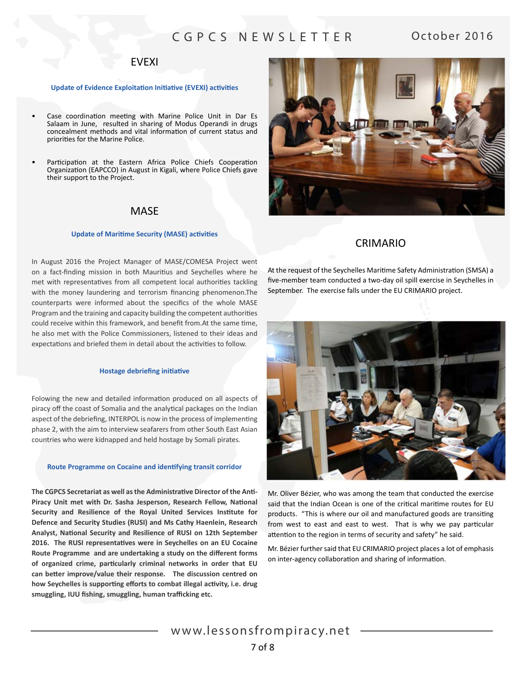### EVEXI

#### **Update of Evidence Exploitation Initiative (EVEXI) activities**

- Case coordination meeting with Marine Police Unit in Dar Es Salaam in June, resulted in sharing of Modus Operandi in drugs concealment methods and vital information of current status and priorities for the Marine Police.
- Participation at the Eastern Africa Police Chiefs Cooperation Organization (EAPCCO) in August in Kigali, where Police Chiefs gave their support to the Project.

### **MASE**

#### **Update of Maritime Security (MASE) activities**

In August 2016 the Project Manager of MASE/COMESA Project went on a fact-finding mission in both Mauritius and Seychelles where he met with representatives from all competent local authorities tackling with the money laundering and terrorism financing phenomenon.The counterparts were informed about the specifics of the whole MASE Program and the training and capacity building the competent authorities could receive within this framework, and benefit from.At the same time, he also met with the Police Commissioners, listened to their ideas and expectations and briefed them in detail about the activities to follow.

#### **Hostage debriefing initiative**

Folowing the new and detailed information produced on all aspects of piracy off the coast of Somalia and the analytical packages on the Indian aspect of the debriefing, INTERPOL is now in the process of implementing phase 2, with the aim to interview seafarers from other South East Asian countries who were kidnapped and held hostage by Somali pirates.

#### **Route Programme on Cocaine and identifying transit corridor**

**The CGPCS Secretariat as well as the Administrative Director of the Anti-Piracy Unit met with Dr. Sasha Jesperson, Research Fellow, National Security and Resilience of the Royal United Services Institute for Defence and Security Studies (RUSI) and Ms Cathy Haenlein, Research Analyst, National Security and Resilience of RUSI on 12th September 2016. The RUSI representatives were in Seychelles on an EU Cocaine Route Programme and are undertaking a study on the different forms of organized crime, particularly criminal networks in order that EU can better improve/value their response. The discussion centred on how Seychelles is supporting efforts to combat illegal activity, i.e. drug smuggling, IUU fishing, smuggling, human trafficking etc.**



### CRIMARIO

At the request of the Seychelles Maritime Safety Administration (SMSA) a five-member team conducted a two-day oil spill exercise in Seychelles in September. The exercise falls under the EU CRIMARIO project.



Mr. Oliver Bézier, who was among the team that conducted the exercise said that the Indian Ocean is one of the critical maritime routes for EU products. "This is where our oil and manufactured goods are transiting from west to east and east to west. That is why we pay particular attention to the region in terms of security and safety" he said.

Mr. Bézier further said that EU CRIMARIO project places a lot of emphasis on inter-agency collaboration and sharing of information.

www.lessonsfrompiracy.net 7 of 8